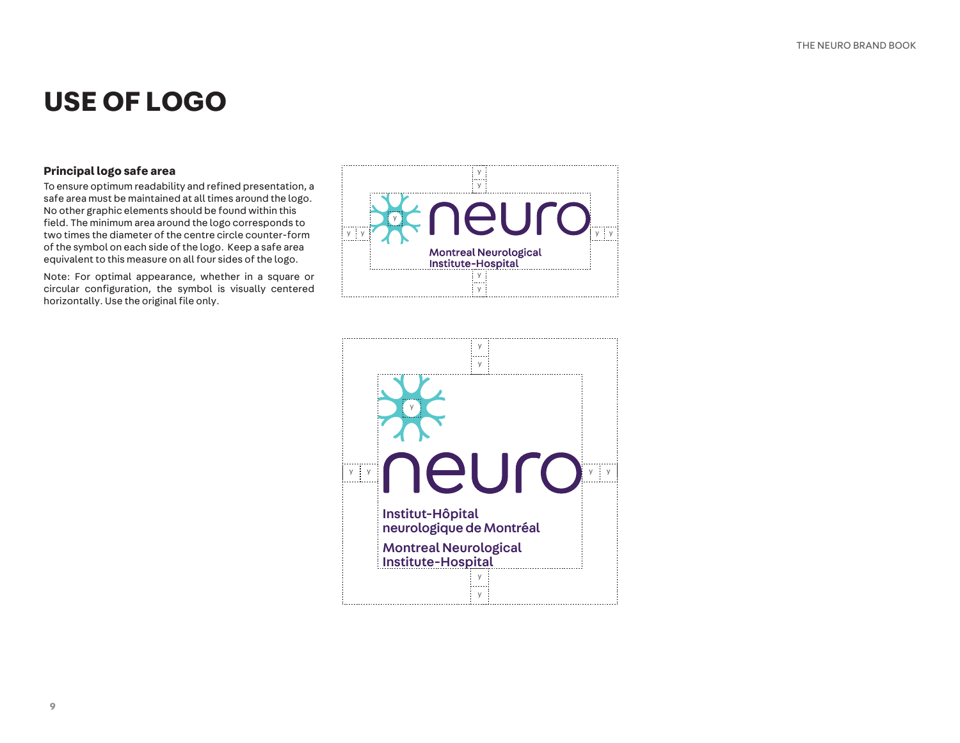## **Principal logo safe area**

To ensure optimum readability and refined presentation, a safe area must be maintained at all times around the logo. No other graphic elements should be found within this field. The minimum area around the logo corresponds to two times the diameter of the centre circle counter-form of the symbol on each side of the logo. Keep a safe area equivalent to this measure on all four sides of the logo.

Note: For optimal appearance, whether in a square or circular configuration, the symbol is visually centered horizontally. Use the original file only.



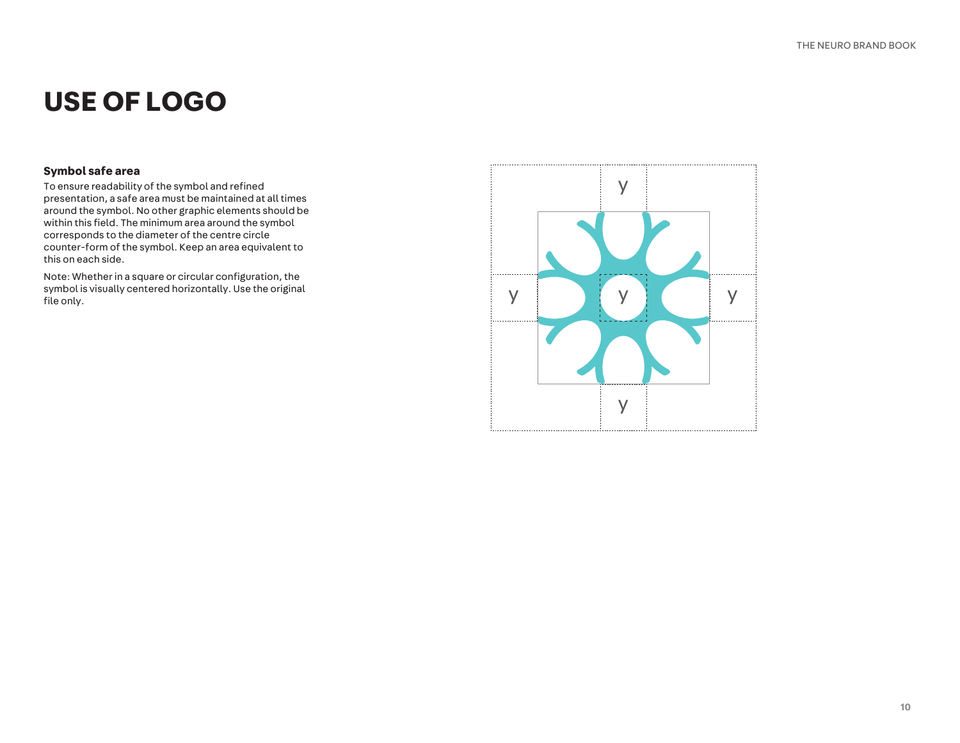## **Symbol safe area**

To ensure readability of the symbol and refined presentation, a safe area must be maintained at all times around the symbol. No other graphic elements should be within this field. The minimum area around the symbol corresponds to the diameter of the centre circle counter-form of the symbol. Keep an area equivalent to this on each side.

Note: Whether in a square or circular configuration, the symbol is visually centered horizontally. Use the original the state of the state of the state of the state of the state of the state of the state of the state of the state of the state of the state of the state of the sta

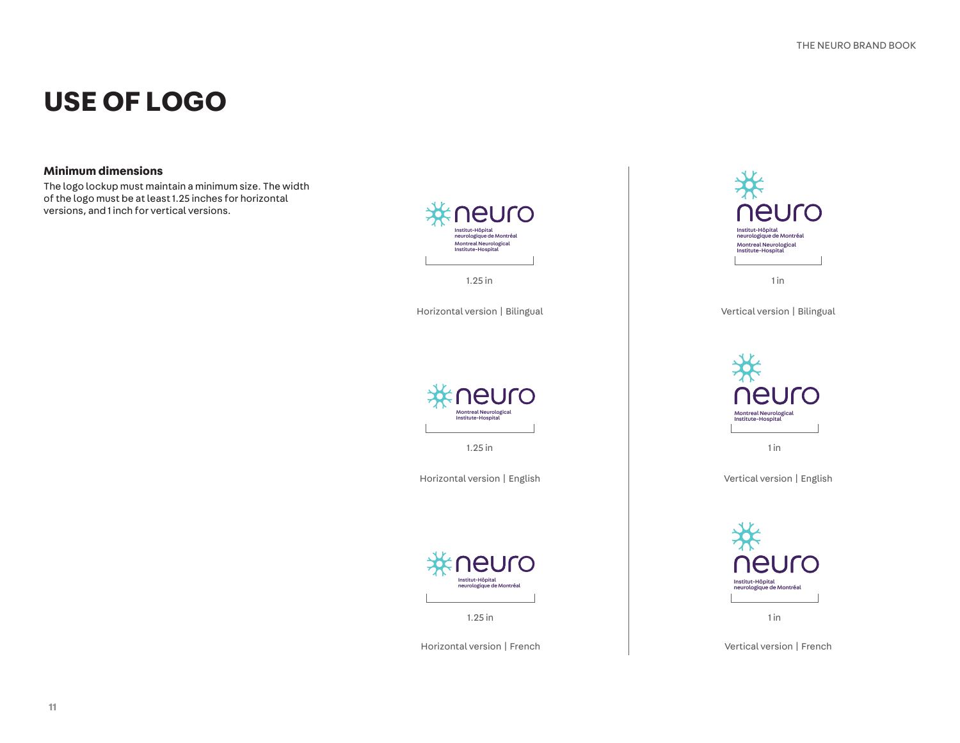#### **Minimum dimensions**

The logo lockup must maintain a minimum size. The width of the logo must be at least 1.25 inches for horizontal versions, and 1 inch for vertical versions.



1.25 in

Horizontal version | French





1 in

Institut-Hôpital neurologique de Montréal

Institut-Hôpital neurologique de Montréal Montreal Neurological Institute-Hospital

Vertical version | English



1 in

Vertical version | French